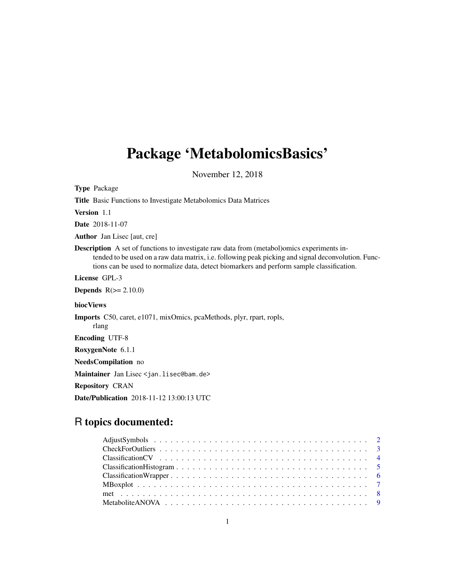# <span id="page-0-0"></span>Package 'MetabolomicsBasics'

November 12, 2018

Type Package Title Basic Functions to Investigate Metabolomics Data Matrices Version 1.1 Date 2018-11-07 Author Jan Lisec [aut, cre] Description A set of functions to investigate raw data from (metabol)omics experiments intended to be used on a raw data matrix, i.e. following peak picking and signal deconvolution. Functions can be used to normalize data, detect biomarkers and perform sample classification. License GPL-3 **Depends**  $R(>= 2.10.0)$ biocViews Imports C50, caret, e1071, mixOmics, pcaMethods, plyr, rpart, ropls, rlang Encoding UTF-8 RoxygenNote 6.1.1 NeedsCompilation no Maintainer Jan Lisec <jan.lisec@bam.de> Repository CRAN Date/Publication 2018-11-12 13:00:13 UTC

# R topics documented: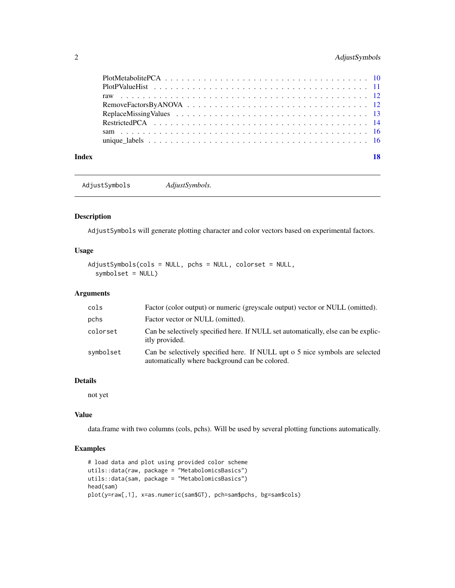# <span id="page-1-0"></span>2 AdjustSymbols

| Index |  |  |  |  |  |  |  |  |  |  |  |  |  |  | 18 |
|-------|--|--|--|--|--|--|--|--|--|--|--|--|--|--|----|
|       |  |  |  |  |  |  |  |  |  |  |  |  |  |  |    |
|       |  |  |  |  |  |  |  |  |  |  |  |  |  |  |    |
|       |  |  |  |  |  |  |  |  |  |  |  |  |  |  |    |
|       |  |  |  |  |  |  |  |  |  |  |  |  |  |  |    |
|       |  |  |  |  |  |  |  |  |  |  |  |  |  |  |    |
|       |  |  |  |  |  |  |  |  |  |  |  |  |  |  |    |
|       |  |  |  |  |  |  |  |  |  |  |  |  |  |  |    |
|       |  |  |  |  |  |  |  |  |  |  |  |  |  |  |    |

AdjustSymbols *AdjustSymbols.*

# Description

AdjustSymbols will generate plotting character and color vectors based on experimental factors.

# Usage

```
AdjustSymbols(cols = NULL, pchs = NULL, colorset = NULL,
  symbolset = NULL)
```
# Arguments

| cols      | Factor (color output) or numeric (greyscale output) vector or NULL (omitted).                                                  |
|-----------|--------------------------------------------------------------------------------------------------------------------------------|
| pchs      | Factor vector or NULL (omitted).                                                                                               |
| colorset  | Can be selectively specified here. If NULL set automatically, else can be explic-<br>itly provided.                            |
| symbolset | Can be selectively specified here. If NULL upt o 5 nice symbols are selected<br>automatically where background can be colored. |

# Details

not yet

#### Value

data.frame with two columns (cols, pchs). Will be used by several plotting functions automatically.

```
# load data and plot using provided color scheme
utils::data(raw, package = "MetabolomicsBasics")
utils::data(sam, package = "MetabolomicsBasics")
head(sam)
plot(y=raw[,1], x=as.numeric(sam$GT), pch=sam$pchs, bg=sam$cols)
```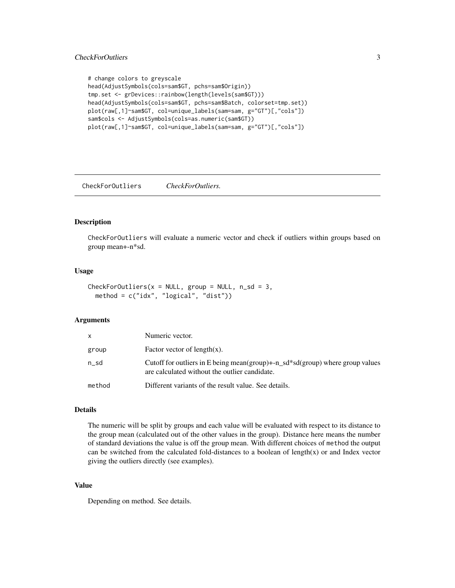# <span id="page-2-0"></span>CheckForOutliers 3

```
# change colors to greyscale
head(AdjustSymbols(cols=sam$GT, pchs=sam$Origin))
tmp.set <- grDevices::rainbow(length(levels(sam$GT)))
head(AdjustSymbols(cols=sam$GT, pchs=sam$Batch, colorset=tmp.set))
plot(raw[,1]~sam$GT, col=unique_labels(sam=sam, g="GT")[,"cols"])
sam$cols <- AdjustSymbols(cols=as.numeric(sam$GT))
plot(raw[,1]~sam$GT, col=unique_labels(sam=sam, g="GT")[,"cols"])
```
CheckForOutliers *CheckForOutliers.*

#### Description

CheckForOutliers will evaluate a numeric vector and check if outliers within groups based on group mean+-n\*sd.

#### Usage

```
CheckForOutliers(x = NULL, group = NULL, n_s = 3,
 method = c("idx", "logical", "dist"))
```
#### Arguments

| $\mathsf{x}$ | Numeric vector.                                                                                                                |
|--------------|--------------------------------------------------------------------------------------------------------------------------------|
| group        | Factor vector of $length(x)$ .                                                                                                 |
| n sd         | Cutoff for outliers in E being mean(group)+-n_sd*sd(group) where group values<br>are calculated without the outlier candidate. |
| method       | Different variants of the result value. See details.                                                                           |

#### Details

The numeric will be split by groups and each value will be evaluated with respect to its distance to the group mean (calculated out of the other values in the group). Distance here means the number of standard deviations the value is off the group mean. With different choices of method the output can be switched from the calculated fold-distances to a boolean of length $(x)$  or and Index vector giving the outliers directly (see examples).

# Value

Depending on method. See details.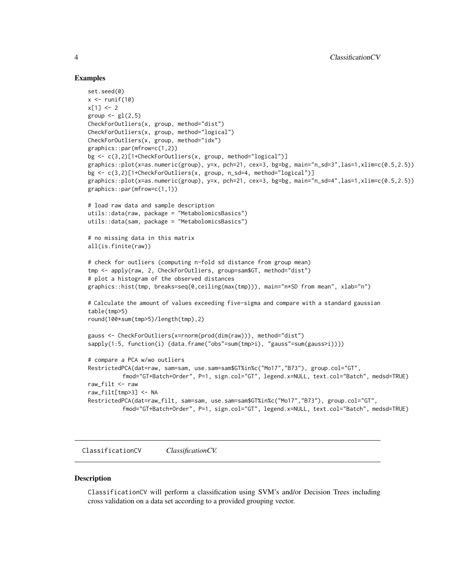#### Examples

```
set.seed(0)
x \leftarrow runif(10)x[1] < -2group \leftarrow gl(2,5)
CheckForOutliers(x, group, method="dist")
CheckForOutliers(x, group, method="logical")
CheckForOutliers(x, group, method="idx")
graphics::par(mfrow=c(1,2))
bg <- c(3,2)[1+CheckForOutliers(x, group, method="logical")]
graphics::plot(x=as.numeric(group), y=x, pch=21, cex=3, bg=bg, main="n_sd=3",las=1,xlim=c(0.5,2.5))
bg <- c(3,2)[1+CheckForOutliers(x, group, n_sd=4, method="logical")]
graphics::plot(x=as.numeric(group), y=x, pch=21, cex=3, bg=bg, main="n_sd=4",las=1,xlim=c(0.5,2.5))
graphics::par(mfrow=c(1,1))
# load raw data and sample description
utils::data(raw, package = "MetabolomicsBasics")
utils::data(sam, package = "MetabolomicsBasics")
# no missing data in this matrix
all(is.finite(raw))
# check for outliers (computing n-fold sd distance from group mean)
tmp <- apply(raw, 2, CheckForOutliers, group=sam$GT, method="dist")
# plot a histogram of the observed distances
graphics::hist(tmp, breaks=seq(0,ceiling(max(tmp))), main="n*SD from mean", xlab="n")
# Calculate the amount of values exceeding five-sigma and compare with a standard gaussian
table(tmp>5)
round(100*sum(tmp>5)/length(tmp),2)
gauss <- CheckForOutliers(x=rnorm(prod(dim(raw))), method="dist")
sapply(1:5, function(i) {data.frame("obs"=sum(tmp>i), "gauss"=sum(gauss>i))})
# compare a PCA w/wo outliers
RestrictedPCA(dat=raw, sam=sam, use.sam=sam$GT%in%c("Mo17","B73"), group.col="GT",
          fmod="GT+Batch+Order", P=1, sign.col="GT", legend.x=NULL, text.col="Batch", medsd=TRUE)
raw_filt <- raw
raw_filt[tmp>3] <- NA
RestrictedPCA(dat=raw_filt, sam=sam, use.sam=sam$GT%in%c("Mo17","B73"), group.col="GT",
          fmod="GT+Batch+Order", P=1, sign.col="GT", legend.x=NULL, text.col="Batch", medsd=TRUE)
```
ClassificationCV *ClassificationCV.*

#### Description

ClassificationCV will perform a classification using SVM's and/or Decision Trees including cross validation on a data set according to a provided grouping vector.

<span id="page-3-0"></span>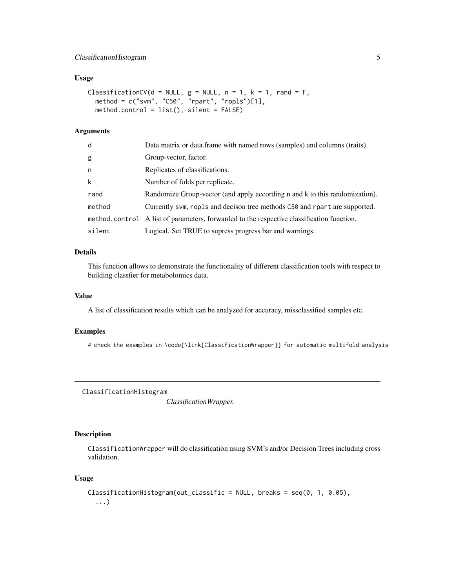# <span id="page-4-0"></span>ClassificationHistogram 5

#### Usage

```
ClassificationCV(d = NULL, g = NULL, n = 1, k = 1, rand = F,
 method = c("svm", "C50", "rpart", "ropls")[1],
 method.control = list(), silent = FALSE)
```
# Arguments

| d      | Data matrix or data.frame with named rows (samples) and columns (traits).                 |
|--------|-------------------------------------------------------------------------------------------|
| g      | Group-vector, factor.                                                                     |
| n      | Replicates of classifications.                                                            |
| k      | Number of folds per replicate.                                                            |
| rand   | Randomize Group-vector (and apply according n and k to this randomization).               |
| method | Currently svm, ropls and decison tree methods C50 and rpart are supported.                |
|        | method.control A list of parameters, forwarded to the respective classification function. |
| silent | Logical. Set TRUE to supress progress bar and warnings.                                   |

#### Details

This function allows to demonstrate the functionality of different classification tools with respect to building classfier for metabolomics data.

#### Value

A list of classification results which can be analyzed for accuracy, missclassified samples etc.

#### Examples

# check the examples in \code{\link{ClassificationWrapper}} for automatic multifold analysis

ClassificationHistogram

*ClassificationWrapper.*

# Description

ClassificationWrapper will do classification using SVM's and/or Decision Trees including cross validation.

# Usage

```
ClassificationHistogram(out_classific = NULL, breaks = seq(0, 1, 0.05),
  ...)
```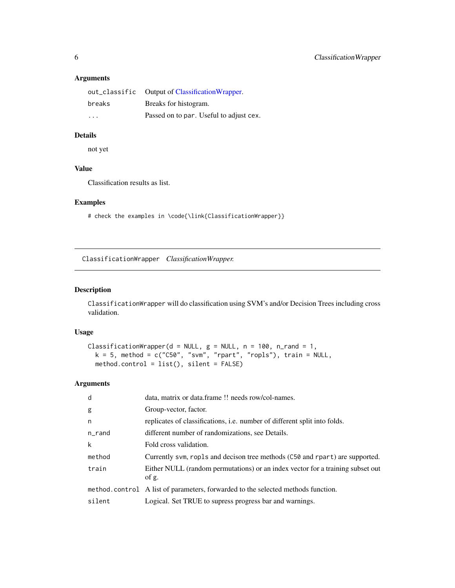# Arguments

| breaks                  | Breaks for histogram.                   |
|-------------------------|-----------------------------------------|
| $\cdot$ $\cdot$ $\cdot$ | Passed on to par. Useful to adjust cex. |

# Details

not yet

# Value

Classification results as list.

# Examples

# check the examples in \code{\link{ClassificationWrapper}}

<span id="page-5-1"></span>ClassificationWrapper *ClassificationWrapper.*

# Description

ClassificationWrapper will do classification using SVM's and/or Decision Trees including cross validation.

# Usage

```
ClassificationWrapper(d = NULL, g = NULL, n = 100, n_rand = 1,
 k = 5, method = c("C50", "svm", "rpart", "ropls"), train = NULL,
 method.contrib = list(), silent = FALSE)
```
# Arguments

| d         | data, matrix or data.frame !! needs row/col-names.                                      |
|-----------|-----------------------------------------------------------------------------------------|
| g         | Group-vector, factor.                                                                   |
| n         | replicates of classifications, <i>i.e.</i> number of different split into folds.        |
| $n$ _rand | different number of randomizations, see Details.                                        |
| k         | Fold cross validation.                                                                  |
| method    | Currently svm, rop1s and decison tree methods (C50 and rpart) are supported.            |
| train     | Either NULL (random permutations) or an index vector for a training subset out<br>of g. |
|           | method.control A list of parameters, forwarded to the selected methods function.        |
| silent    | Logical. Set TRUE to supress progress bar and warnings.                                 |

<span id="page-5-0"></span>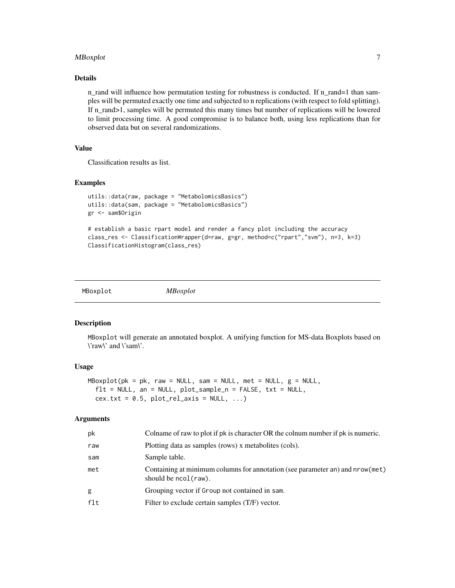#### <span id="page-6-0"></span>MBoxplot 7

#### Details

n\_rand will influence how permutation testing for robustness is conducted. If n\_rand=1 than samples will be permuted exactly one time and subjected to n replications (with respect to fold splitting). If n\_rand>1, samples will be permuted this many times but number of replications will be lowered to limit processing time. A good compromise is to balance both, using less replications than for observed data but on several randomizations.

# Value

Classification results as list.

# Examples

```
utils::data(raw, package = "MetabolomicsBasics")
utils::data(sam, package = "MetabolomicsBasics")
gr <- sam$Origin
```

```
# establish a basic rpart model and render a fancy plot including the accuracy
class_res <- ClassificationWrapper(d=raw, g=gr, method=c("rpart","svm"), n=3, k=3)
ClassificationHistogram(class_res)
```
MBoxplot *MBoxplot*

#### Description

MBoxplot will generate an annotated boxplot. A unifying function for MS-data Boxplots based on \'raw\' and \'sam\'.

# Usage

```
MBoxplot(pk = pk, raw = NULL, sam = NULL, met = NULL, g = NULL,f1t = NULL, an = NULL, plot_sample_n = FALSE, txt = NULL,
  cex.txt = 0.5, plot_{rel\_axis} = NULL, ...)
```
#### Arguments

| рk     | Colname of raw to plot if pk is character OR the colnum number if pk is numeric.                       |
|--------|--------------------------------------------------------------------------------------------------------|
| raw    | Plotting data as samples (rows) x metabolities (cols).                                                 |
| sam    | Sample table.                                                                                          |
| met    | Containing at minimum columns for annotation (see parameter an) and nrow (met)<br>should be ncol(raw). |
| g      | Grouping vector if Group not contained in sam.                                                         |
| $f$ lt | Filter to exclude certain samples (T/F) vector.                                                        |
|        |                                                                                                        |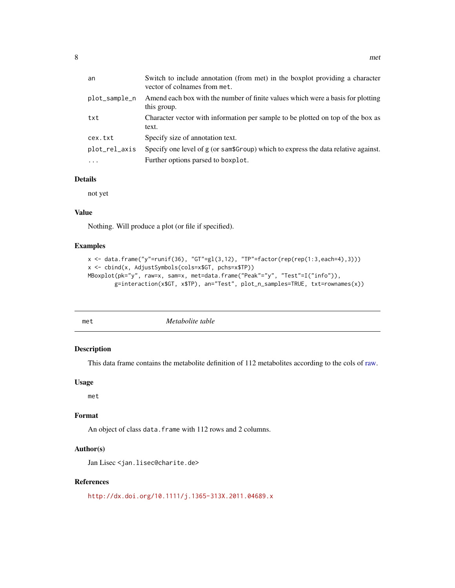<span id="page-7-0"></span>

| an            | Switch to include annotation (from met) in the boxplot providing a character<br>vector of colnames from met. |
|---------------|--------------------------------------------------------------------------------------------------------------|
| plot_sample_n | Amend each box with the number of finite values which were a basis for plotting<br>this group.               |
| txt           | Character vector with information per sample to be plotted on top of the box as<br>text.                     |
| cex.txt       | Specify size of annotation text.                                                                             |
| plot_rel_axis | Specify one level of g (or sam\$Group) which to express the data relative against.                           |
| $\cdots$      | Further options parsed to boxplot.                                                                           |

# Details

not yet

# Value

Nothing. Will produce a plot (or file if specified).

# Examples

```
x <- data.frame("y"=runif(36), "GT"=gl(3,12), "TP"=factor(rep(rep(1:3,each=4),3)))
x <- cbind(x, AdjustSymbols(cols=x$GT, pchs=x$TP))
MBoxplot(pk="y", raw=x, sam=x, met=data.frame("Peak"="y", "Test"=I("info")),
       g=interaction(x$GT, x$TP), an="Test", plot_n_samples=TRUE, txt=rownames(x))
```

|--|

# Description

This data frame contains the metabolite definition of 112 metabolites according to the cols of [raw.](#page-11-1)

#### Usage

met

# Format

An object of class data. frame with 112 rows and 2 columns.

# Author(s)

Jan Lisec <jan.lisec@charite.de>

#### References

<http://dx.doi.org/10.1111/j.1365-313X.2011.04689.x>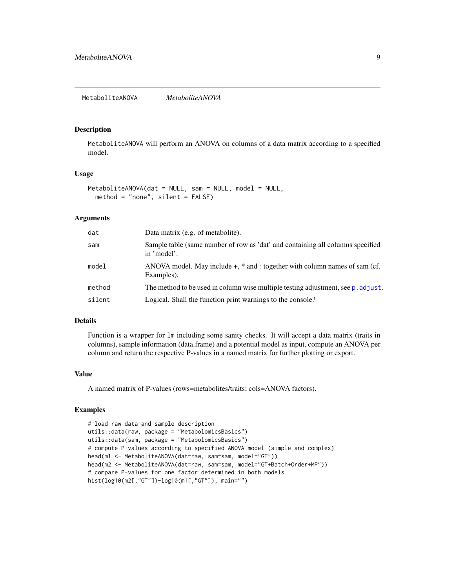#### <span id="page-8-1"></span><span id="page-8-0"></span>Description

MetaboliteANOVA will perform an ANOVA on columns of a data matrix according to a specified model.

#### Usage

```
MetaboliteANOVA(dat = NULL, sam = NULL, model = NULL,
  method = "none", silent = FALSE)
```
#### Arguments

| dat    | Data matrix (e.g. of metabolite).                                                             |
|--------|-----------------------------------------------------------------------------------------------|
| sam    | Sample table (same number of row as 'dat' and containing all columns specified<br>in 'model'. |
| model  | ANOVA model. May include $+$ , $*$ and : together with column names of sam (cf.<br>Examples). |
| method | The method to be used in column wise multiple testing adjustment, see p. adjust.              |
| silent | Logical. Shall the function print warnings to the console?                                    |

#### Details

Function is a wrapper for lm including some sanity checks. It will accept a data matrix (traits in columns), sample information (data.frame) and a potential model as input, compute an ANOVA per column and return the respective P-values in a named matrix for further plotting or export.

#### Value

A named matrix of P-values (rows=metabolites/traits; cols=ANOVA factors).

```
# load raw data and sample description
utils::data(raw, package = "MetabolomicsBasics")
utils::data(sam, package = "MetabolomicsBasics")
# compute P-values according to specified ANOVA model (simple and complex)
head(m1 <- MetaboliteANOVA(dat=raw, sam=sam, model="GT"))
head(m2 <- MetaboliteANOVA(dat=raw, sam=sam, model="GT+Batch+Order+MP"))
# compare P-values for one factor determined in both models
hist(log10(m2[,"GT"])-log10(m1[,"GT"]), main="")
```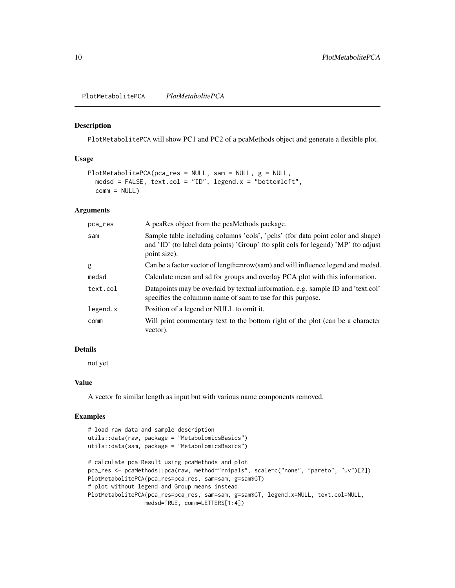<span id="page-9-1"></span><span id="page-9-0"></span>PlotMetabolitePCA *PlotMetabolitePCA*

#### Description

PlotMetabolitePCA will show PC1 and PC2 of a pcaMethods object and generate a flexible plot.

# Usage

```
PlotMetabolitePCA(pca_res = NULL, sam = NULL, g = NULL,
 medsd = FALSE, text.col = "ID", legend.x = "bottomleft",
 comm = NULL)
```
# Arguments

| pca_res  | A pcaRes object from the pcaMethods package.                                                                                                                                         |
|----------|--------------------------------------------------------------------------------------------------------------------------------------------------------------------------------------|
| sam      | Sample table including columns 'cols', 'pchs' (for data point color and shape)<br>and 'ID' (to label data points) 'Group' (to split cols for legend) 'MP' (to adjust<br>point size). |
| g        | Can be a factor vector of length=nrow(sam) and will influence legend and medsd.                                                                                                      |
| medsd    | Calculate mean and sd for groups and overlay PCA plot with this information.                                                                                                         |
| text.col | Datapoints may be overlaid by textual information, e.g. sample ID and 'text.col'<br>specifies the column name of sam to use for this purpose.                                        |
| legend.x | Position of a legend or NULL to omit it.                                                                                                                                             |
| comm     | Will print commentary text to the bottom right of the plot (can be a character<br>vector).                                                                                           |

# Details

not yet

# Value

A vector fo similar length as input but with various name components removed.

```
# load raw data and sample description
utils::data(raw, package = "MetabolomicsBasics")
utils::data(sam, package = "MetabolomicsBasics")
# calculate pca Result using pcaMethods and plot
pca_res <- pcaMethods::pca(raw, method="rnipals", scale=c("none", "pareto", "uv")[2])
PlotMetabolitePCA(pca_res=pca_res, sam=sam, g=sam$GT)
# plot without legend and Group means instead
PlotMetabolitePCA(pca_res=pca_res, sam=sam, g=sam$GT, legend.x=NULL, text.col=NULL,
                medsd=TRUE, comm=LETTERS[1:4])
```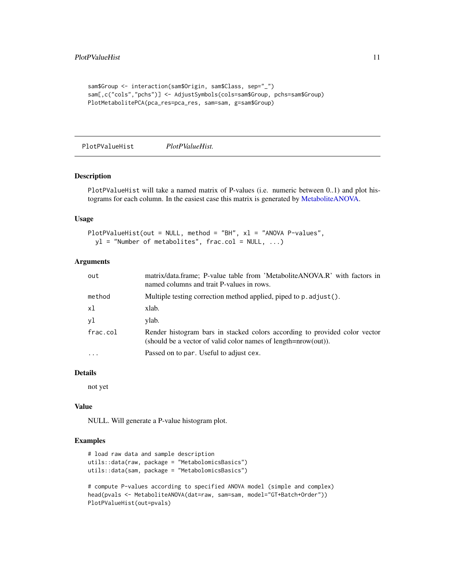```
sam$Group <- interaction(sam$Origin, sam$Class, sep="_")
sam[,c("cols","pchs")] <- AdjustSymbols(cols=sam$Group, pchs=sam$Group)
PlotMetabolitePCA(pca_res=pca_res, sam=sam, g=sam$Group)
```
PlotPValueHist *PlotPValueHist.*

#### Description

PlotPValueHist will take a named matrix of P-values (i.e. numeric between 0..1) and plot histograms for each column. In the easiest case this matrix is generated by [MetaboliteANOVA.](#page-8-1)

#### Usage

```
PlotPValueHist(out = NULL, method = "BH", xl = "ANOVA P-values",
 y1 = "Number of metabolites", frac.col = NULL, ...)
```
# Arguments

| out      | matrix/data.frame; P-value table from 'MetaboliteANOVA.R' with factors in<br>named columns and trait P-values in rows.                           |
|----------|--------------------------------------------------------------------------------------------------------------------------------------------------|
| method   | Multiple testing correction method applied, piped to p. adjust().                                                                                |
| xl       | xlab.                                                                                                                                            |
| yl       | ylab.                                                                                                                                            |
| frac.col | Render histogram bars in stacked colors according to provided color vector<br>(should be a vector of valid color names of length= $nrow(out)$ ). |
| $\cdots$ | Passed on to par. Useful to adjust cex.                                                                                                          |

# Details

not yet

#### Value

NULL. Will generate a P-value histogram plot.

#### Examples

```
# load raw data and sample description
utils::data(raw, package = "MetabolomicsBasics")
utils::data(sam, package = "MetabolomicsBasics")
```
# compute P-values according to specified ANOVA model (simple and complex) head(pvals <- MetaboliteANOVA(dat=raw, sam=sam, model="GT+Batch+Order")) PlotPValueHist(out=pvals)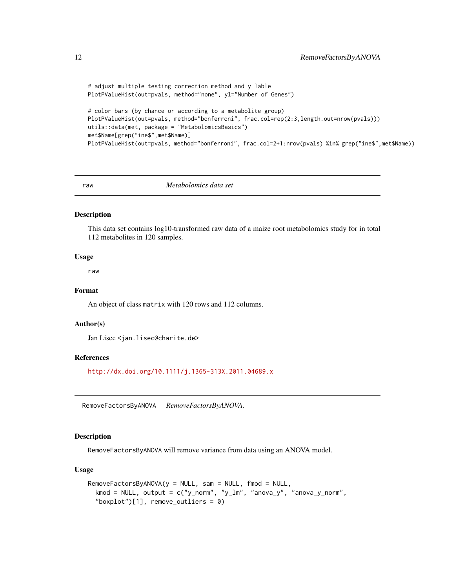```
# adjust multiple testing correction method and y lable
PlotPValueHist(out=pvals, method="none", yl="Number of Genes")
# color bars (by chance or according to a metabolite group)
PlotPValueHist(out=pvals, method="bonferroni", frac.col=rep(2:3,length.out=nrow(pvals)))
utils::data(met, package = "MetabolomicsBasics")
met$Name[grep("ine$",met$Name)]
PlotPValueHist(out=pvals, method="bonferroni", frac.col=2+1:nrow(pvals) %in% grep("ine$",met$Name))
```
<span id="page-11-1"></span>

raw *Metabolomics data set*

#### Description

This data set contains log10-transformed raw data of a maize root metabolomics study for in total 112 metabolites in 120 samples.

# Usage

raw

# Format

An object of class matrix with 120 rows and 112 columns.

#### Author(s)

Jan Lisec <jan.lisec@charite.de>

#### References

<http://dx.doi.org/10.1111/j.1365-313X.2011.04689.x>

RemoveFactorsByANOVA *RemoveFactorsByANOVA.*

#### Description

RemoveFactorsByANOVA will remove variance from data using an ANOVA model.

#### Usage

```
RemoveFactorsByANOVA(y = NULL, sam = NULL, find = NULL,kmod = NULL, output = c("y_norm", "y_lm", "anova_y", "anova_y_norm",
  "boxplot"[1], remove_outliers = 0)
```
<span id="page-11-0"></span>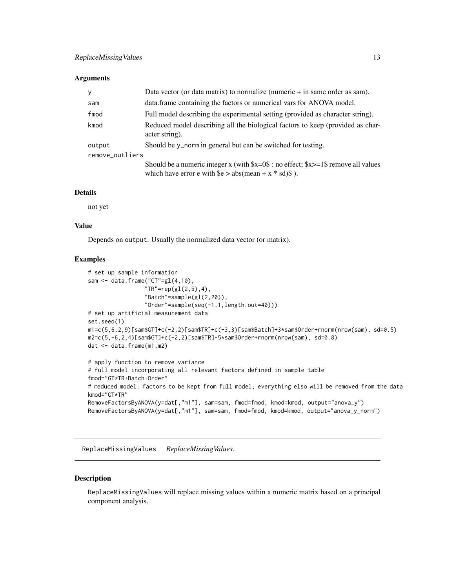#### <span id="page-12-0"></span>**Arguments**

| y               | Data vector (or data matrix) to normalize (numeric $+$ in same order as sam).                                                                                     |  |
|-----------------|-------------------------------------------------------------------------------------------------------------------------------------------------------------------|--|
| sam             | data.frame containing the factors or numerical vars for ANOVA model.                                                                                              |  |
| fmod            | Full model describing the experimental setting (provided as character string).                                                                                    |  |
| kmod            | Reduced model describing all the biological factors to keep (provided as char-<br>acter string).                                                                  |  |
| output          | Should be y_norm in general but can be switched for testing.                                                                                                      |  |
| remove_outliers |                                                                                                                                                                   |  |
|                 | Should be a numeric integer x (with $x=0$ ): no effect; $x>=1$ remove all values<br>which have error e with $\frac{1}{2}$ e > abs(mean + x * sd) $\frac{1}{2}$ ). |  |

# Details

not yet

# Value

Depends on output. Usually the normalized data vector (or matrix).

#### Examples

```
# set up sample information
sam <- data.frame("GT"=gl(4,10),
                 "TR"=rep(gl(2,5),4),
                 "Batch"=sample(gl(2,20)),
                 "Order"=sample(seq(-1,1,length.out=40)))
# set up artificial measurement data
set.seed(1)
m1=c(5,6,2,9)[sam$GT]+c(-2,2)[sam$TR]+c(-3,3)[sam$Batch]+3*sam$Order+rnorm(nrow(sam), sd=0.5)
m2=c(5,-6,2,4)[sam$GT]+c(-2,2)[sam$TR]-5*sam$Order+rnorm(nrow(sam), sd=0.8)
dat <- data.frame(m1,m2)
# apply function to remove variance
# full model incorporating all relevant factors defined in sample table
fmod="GT*TR+Batch+Order"
# reduced model: factors to be kept from full model; everything elso will be removed from the data
kmod="GT*TR"
RemoveFactorsByANOVA(y=dat[,"m1"], sam=sam, fmod=fmod, kmod=kmod, output="anova_y")
RemoveFactorsByANOVA(y=dat[,"m1"], sam=sam, fmod=fmod, kmod=kmod, output="anova_y_norm")
```
ReplaceMissingValues *ReplaceMissingValues.*

# Description

ReplaceMissingValues will replace missing values within a numeric matrix based on a principal component analysis.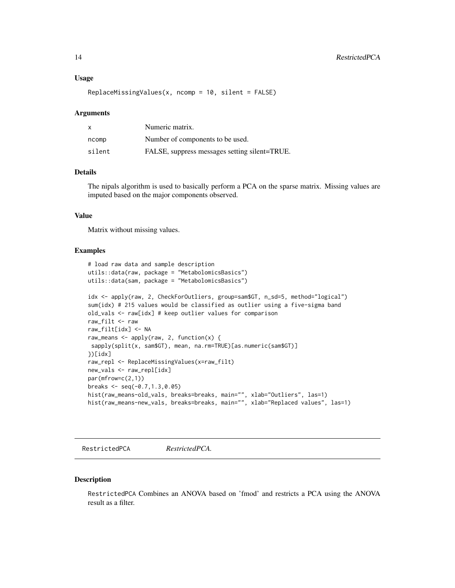#### <span id="page-13-0"></span>Usage

 $ReplaceMissingValues(x, ncomp = 10, silent = FALSE)$ 

#### Arguments

| X      | Numeric matrix.                               |
|--------|-----------------------------------------------|
| ncomp  | Number of components to be used.              |
| silent | FALSE, suppress messages setting silent=TRUE. |

# Details

The nipals algorithm is used to basically perform a PCA on the sparse matrix. Missing values are imputed based on the major components observed.

# Value

Matrix without missing values.

#### Examples

```
# load raw data and sample description
utils::data(raw, package = "MetabolomicsBasics")
utils::data(sam, package = "MetabolomicsBasics")
idx <- apply(raw, 2, CheckForOutliers, group=sam$GT, n_sd=5, method="logical")
sum(idx) # 215 values would be classified as outlier using a five-sigma band
old_vals <- raw[idx] # keep outlier values for comparison
raw_filt <- raw
raw_filt[idx] <- NA
raw_means <- apply(raw, 2, function(x) {
sapply(split(x, sam$GT), mean, na.rm=TRUE)[as.numeric(sam$GT)]
})[idx]
raw_repl <- ReplaceMissingValues(x=raw_filt)
new_vals <- raw_repl[idx]
par(mfrow=c(2,1))
breaks \leq seq(-0.7, 1.3, 0.05)
hist(raw_means-old_vals, breaks=breaks, main="", xlab="Outliers", las=1)
hist(raw_means-new_vals, breaks=breaks, main="", xlab="Replaced values", las=1)
```
RestrictedPCA *RestrictedPCA.*

#### Description

RestrictedPCA Combines an ANOVA based on 'fmod' and restricts a PCA using the ANOVA result as a filter.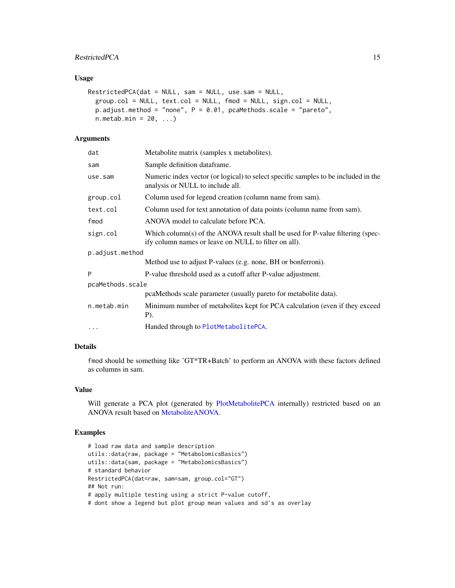# <span id="page-14-0"></span>RestrictedPCA 15

# Usage

```
RestrictedPCA(dat = NULL, sam = NULL, use.sam = NULL,
 group.col = NULL, text.col = NULL, fmod = NULL, sign.col = NULL,
 p.adjust.method = "none", P = 0.01, pcaMethods.scale = "pareto",
 n.metab.min = 20, ...)
```
# Arguments

| dat              | Metabolite matrix (samples x metabolites).                                                                                             |  |  |
|------------------|----------------------------------------------------------------------------------------------------------------------------------------|--|--|
| sam              | Sample definition dataframe.                                                                                                           |  |  |
| use.sam          | Numeric index vector (or logical) to select specific samples to be included in the<br>analysis or NULL to include all.                 |  |  |
| group.col        | Column used for legend creation (column name from sam).                                                                                |  |  |
| text.col         | Column used for text annotation of data points (column name from sam).                                                                 |  |  |
| fmod             | ANOVA model to calculate before PCA.                                                                                                   |  |  |
| sign.col         | Which column(s) of the ANOVA result shall be used for P-value filtering (spec-<br>ify column names or leave on NULL to filter on all). |  |  |
| p.adjust.method  |                                                                                                                                        |  |  |
|                  | Method use to adjust P-values (e.g. none, BH or bonferroni).                                                                           |  |  |
| Þ                | P-value threshold used as a cutoff after P-value adjustment.                                                                           |  |  |
| pcaMethods.scale |                                                                                                                                        |  |  |
|                  | pcaMethods scale parameter (usually pareto for metabolite data).                                                                       |  |  |
| n.metab.min      | Minimum number of metabolites kept for PCA calculation (even if they exceed<br>P).                                                     |  |  |
| $\cdots$         | Handed through to PlotMetabolitePCA.                                                                                                   |  |  |

# Details

fmod should be something like 'GT\*TR+Batch' to perform an ANOVA with these factors defined as columns in sam.

#### Value

Will generate a PCA plot (generated by [PlotMetabolitePCA](#page-9-1) internally) restricted based on an ANOVA result based on [MetaboliteANOVA.](#page-8-1)

```
# load raw data and sample description
utils::data(raw, package = "MetabolomicsBasics")
utils::data(sam, package = "MetabolomicsBasics")
# standard behavior
RestrictedPCA(dat=raw, sam=sam, group.col="GT")
## Not run:
# apply multiple testing using a strict P-value cutoff,
# dont show a legend but plot group mean values and sd's as overlay
```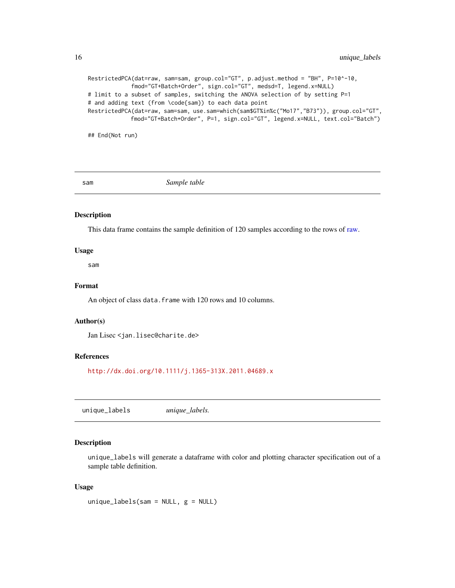<span id="page-15-0"></span>RestrictedPCA(dat=raw, sam=sam, group.col="GT", p.adjust.method = "BH", P=10^-10, fmod="GT+Batch+Order", sign.col="GT", medsd=T, legend.x=NULL) # limit to a subset of samples, switching the ANOVA selection of by setting P=1 # and adding text (from \code{sam}) to each data point RestrictedPCA(dat=raw, sam=sam, use.sam=which(sam\$GT%in%c("Mo17","B73")), group.col="GT", fmod="GT+Batch+Order", P=1, sign.col="GT", legend.x=NULL, text.col="Batch")

## End(Not run)

sam *Sample table*

#### Description

This data frame contains the sample definition of 120 samples according to the rows of [raw.](#page-11-1)

#### Usage

sam

#### Format

An object of class data. frame with 120 rows and 10 columns.

#### Author(s)

Jan Lisec <jan.lisec@charite.de>

#### References

<http://dx.doi.org/10.1111/j.1365-313X.2011.04689.x>

unique\_labels *unique\_labels.*

#### Description

unique\_labels will generate a dataframe with color and plotting character specification out of a sample table definition.

#### Usage

 $unique_labels(sam = NULL, g = NULL)$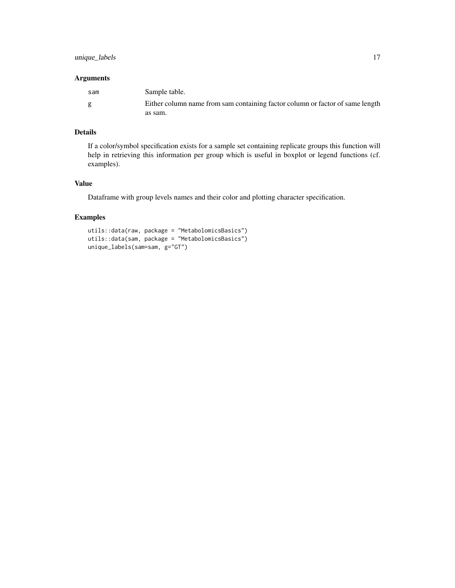# unique\_labels 17

#### Arguments

| sam | Sample table.                                                                 |
|-----|-------------------------------------------------------------------------------|
|     | Either column name from sam containing factor column or factor of same length |
|     | as sam.                                                                       |

# Details

If a color/symbol specification exists for a sample set containing replicate groups this function will help in retrieving this information per group which is useful in boxplot or legend functions (cf. examples).

# Value

Dataframe with group levels names and their color and plotting character specification.

```
utils::data(raw, package = "MetabolomicsBasics")
utils::data(sam, package = "MetabolomicsBasics")
unique_labels(sam=sam, g="GT")
```